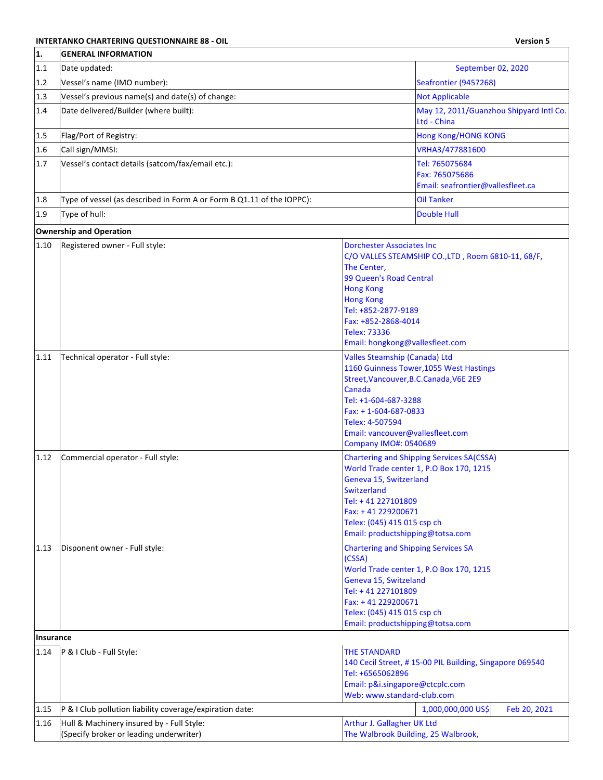## **INTERTANKO CHARTERING QUESTIONNAIRE 88 - OIL And the Contract of Charter Contract of Charles Contract of Charles Contract of Charles Contract of Charles Contract of Charles Contract of Charles Contract of Charles Contra CENERAL INFORMATION**

| 1.        | <b>GENERAL INFORMATION</b>                                                           |                                                                                                                                                                                                                                           |                                                                                             |
|-----------|--------------------------------------------------------------------------------------|-------------------------------------------------------------------------------------------------------------------------------------------------------------------------------------------------------------------------------------------|---------------------------------------------------------------------------------------------|
| 1.1       | Date updated:                                                                        |                                                                                                                                                                                                                                           | September 02, 2020                                                                          |
| 1.2       | Vessel's name (IMO number):                                                          |                                                                                                                                                                                                                                           | Seafrontier (9457268)                                                                       |
| 1.3       | Vessel's previous name(s) and date(s) of change:                                     |                                                                                                                                                                                                                                           | <b>Not Applicable</b>                                                                       |
| 1.4       | Date delivered/Builder (where built):                                                |                                                                                                                                                                                                                                           | May 12, 2011/Guanzhou Shipyard Intl Co.<br>Ltd - China                                      |
| 1.5       | Flag/Port of Registry:                                                               |                                                                                                                                                                                                                                           | <b>Hong Kong/HONG KONG</b>                                                                  |
| 1.6       | Call sign/MMSI:                                                                      |                                                                                                                                                                                                                                           | VRHA3/477881600                                                                             |
| 1.7       | Vessel's contact details (satcom/fax/email etc.):                                    |                                                                                                                                                                                                                                           | Tel: 765075684<br>Fax: 765075686<br>Email: seafrontier@vallesfleet.ca                       |
| 1.8       | Type of vessel (as described in Form A or Form B Q1.11 of the IOPPC):                |                                                                                                                                                                                                                                           | <b>Oil Tanker</b>                                                                           |
| 1.9       | Type of hull:                                                                        |                                                                                                                                                                                                                                           | <b>Double Hull</b>                                                                          |
|           | <b>Ownership and Operation</b>                                                       |                                                                                                                                                                                                                                           |                                                                                             |
| 1.10      | Registered owner - Full style:                                                       | <b>Dorchester Associates Inc.</b><br>The Center,<br>99 Queen's Road Central<br><b>Hong Kong</b><br><b>Hong Kong</b><br>Tel: +852-2877-9189<br>Fax: +852-2868-4014<br><b>Telex: 73336</b><br>Email: hongkong@vallesfleet.com               | C/O VALLES STEAMSHIP CO., LTD, Room 6810-11, 68/F,                                          |
| 1.11      | Technical operator - Full style:                                                     | <b>Valles Steamship (Canada) Ltd</b><br>Street, Vancouver, B.C. Canada, V6E 2E9<br>Canada<br>Tel: +1-604-687-3288<br>$Fax: + 1 - 604 - 687 - 0833$<br>Telex: 4-507594<br>Email: vancouver@vallesfleet.com<br><b>Company IMO#: 0540689</b> | 1160 Guinness Tower, 1055 West Hastings                                                     |
| 1.12      | Commercial operator - Full style:                                                    | Geneva 15, Switzerland<br><b>Switzerland</b><br>Tel: +41 227101809<br>Fax: +41 229200671<br>Telex: (045) 415 015 csp ch<br>Email: productshipping@totsa.com                                                                               | <b>Chartering and Shipping Services SA(CSSA)</b><br>World Trade center 1, P.O Box 170, 1215 |
| 1.13      | Disponent owner - Full style:                                                        | <b>Chartering and Shipping Services SA</b><br>(CSSA)<br>Geneva 15, Switzeland<br>Tel: +41 227101809<br>Fax: +41 229200671<br>Telex: (045) 415 015 csp ch<br>Email: productshipping@totsa.com                                              | World Trade center 1, P.O Box 170, 1215                                                     |
| Insurance |                                                                                      |                                                                                                                                                                                                                                           |                                                                                             |
| 1.14      | P & I Club - Full Style:                                                             | <b>THE STANDARD</b><br>Tel: +6565062896<br>Email: p&i.singapore@ctcplc.com<br>Web: www.standard-club.com                                                                                                                                  | 140 Cecil Street, #15-00 PIL Building, Singapore 069540                                     |
| 1.15      | P & I Club pollution liability coverage/expiration date:                             |                                                                                                                                                                                                                                           | 1,000,000,000 US\$<br>Feb 20, 2021                                                          |
| 1.16      | Hull & Machinery insured by - Full Style:<br>(Specify broker or leading underwriter) | Arthur J. Gallagher UK Ltd<br>The Walbrook Building, 25 Walbrook,                                                                                                                                                                         |                                                                                             |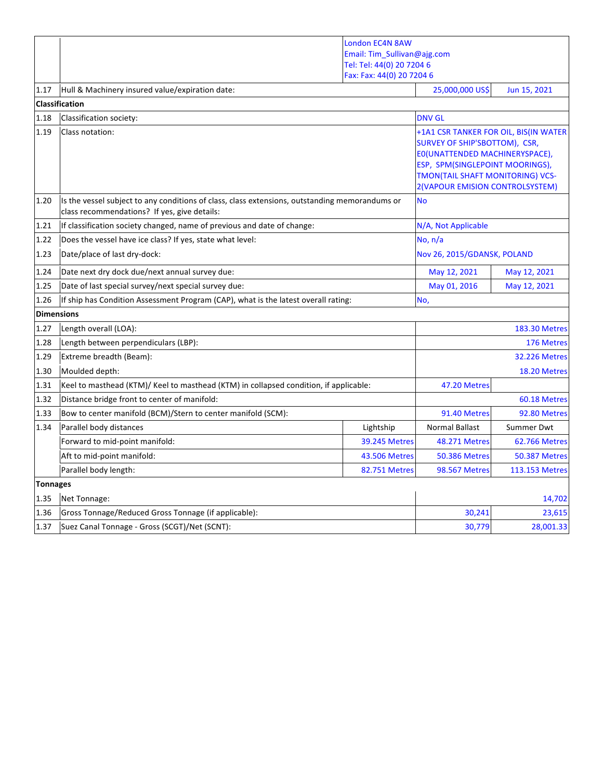|                   |                                                                                                                                                | <b>London EC4N 8AW</b>      |                                                                                                                                                                                         |                                       |
|-------------------|------------------------------------------------------------------------------------------------------------------------------------------------|-----------------------------|-----------------------------------------------------------------------------------------------------------------------------------------------------------------------------------------|---------------------------------------|
|                   |                                                                                                                                                | Email: Tim_Sullivan@ajg.com |                                                                                                                                                                                         |                                       |
|                   |                                                                                                                                                | Tel: Tel: 44(0) 20 7204 6   |                                                                                                                                                                                         |                                       |
|                   |                                                                                                                                                | Fax: Fax: 44(0) 20 7204 6   | 25,000,000 US\$                                                                                                                                                                         |                                       |
| 1.17              | Hull & Machinery insured value/expiration date:                                                                                                |                             |                                                                                                                                                                                         | Jun 15, 2021                          |
|                   | <b>Classification</b>                                                                                                                          |                             |                                                                                                                                                                                         |                                       |
| 1.18              | Classification society:                                                                                                                        |                             | <b>DNV GL</b>                                                                                                                                                                           |                                       |
| 1.19              | Class notation:                                                                                                                                |                             | <b>SURVEY OF SHIP'SBOTTOM), CSR,</b><br>EO(UNATTENDED MACHINERYSPACE),<br>ESP, SPM(SINGLEPOINT MOORINGS),<br><b>TMON(TAIL SHAFT MONITORING) VCS-</b><br>2(VAPOUR EMISION CONTROLSYSTEM) | +1A1 CSR TANKER FOR OIL, BIS(IN WATER |
| 1.20              | Is the vessel subject to any conditions of class, class extensions, outstanding memorandums or<br>class recommendations? If yes, give details: |                             | <b>No</b>                                                                                                                                                                               |                                       |
| 1.21              | If classification society changed, name of previous and date of change:                                                                        |                             | N/A, Not Applicable                                                                                                                                                                     |                                       |
| 1.22              | Does the vessel have ice class? If yes, state what level:                                                                                      |                             | No, $n/a$                                                                                                                                                                               |                                       |
| 1.23              | Date/place of last dry-dock:                                                                                                                   |                             | Nov 26, 2015/GDANSK, POLAND                                                                                                                                                             |                                       |
| 1.24              | Date next dry dock due/next annual survey due:                                                                                                 |                             | May 12, 2021                                                                                                                                                                            | May 12, 2021                          |
| 1.25              | Date of last special survey/next special survey due:                                                                                           |                             | May 01, 2016                                                                                                                                                                            | May 12, 2021                          |
| 1.26              | If ship has Condition Assessment Program (CAP), what is the latest overall rating:                                                             |                             | No,                                                                                                                                                                                     |                                       |
| <b>Dimensions</b> |                                                                                                                                                |                             |                                                                                                                                                                                         |                                       |
| 1.27              | Length overall (LOA):                                                                                                                          |                             |                                                                                                                                                                                         | <b>183.30 Metres</b>                  |
| 1.28              | Length between perpendiculars (LBP):                                                                                                           |                             | 176 Metres                                                                                                                                                                              |                                       |
| 1.29              | Extreme breadth (Beam):                                                                                                                        |                             |                                                                                                                                                                                         | <b>32.226 Metres</b>                  |
| 1.30              | Moulded depth:                                                                                                                                 |                             |                                                                                                                                                                                         | 18.20 Metres                          |
| 1.31              | Keel to masthead (KTM)/ Keel to masthead (KTM) in collapsed condition, if applicable:                                                          |                             | 47.20 Metres                                                                                                                                                                            |                                       |
| 1.32              | Distance bridge front to center of manifold:                                                                                                   |                             |                                                                                                                                                                                         | 60.18 Metres                          |
| 1.33              | Bow to center manifold (BCM)/Stern to center manifold (SCM):                                                                                   |                             | 91.40 Metres                                                                                                                                                                            | 92.80 Metres                          |
| 1.34              | Parallel body distances                                                                                                                        | Lightship                   | <b>Normal Ballast</b>                                                                                                                                                                   | Summer Dwt                            |
|                   | Forward to mid-point manifold:                                                                                                                 | 39.245 Metres               | 48.271 Metres                                                                                                                                                                           | <b>62.766 Metres</b>                  |
|                   | Aft to mid-point manifold:                                                                                                                     | <b>43.506 Metres</b>        | <b>50.386 Metres</b>                                                                                                                                                                    | <b>50.387 Metres</b>                  |
|                   | Parallel body length:                                                                                                                          | <b>82.751 Metres</b>        | <b>98.567 Metres</b>                                                                                                                                                                    | 113.153 Metres                        |
| <b>Tonnages</b>   |                                                                                                                                                |                             |                                                                                                                                                                                         |                                       |
| 1.35              | Net Tonnage:                                                                                                                                   |                             |                                                                                                                                                                                         | 14,702                                |
| 1.36              | Gross Tonnage/Reduced Gross Tonnage (if applicable):                                                                                           |                             | 30,241                                                                                                                                                                                  | 23,615                                |
| 1.37              | Suez Canal Tonnage - Gross (SCGT)/Net (SCNT):                                                                                                  |                             | 30,779                                                                                                                                                                                  | 28,001.33                             |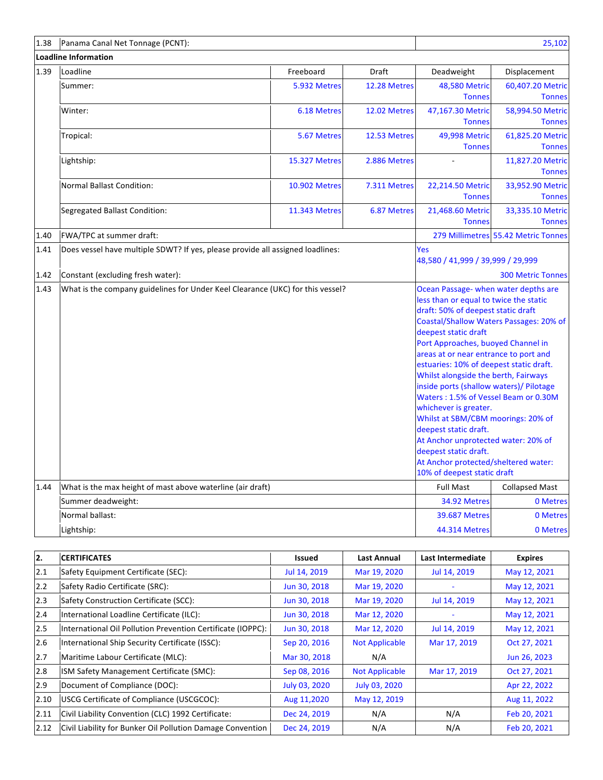| 1.38 | Panama Canal Net Tonnage (PCNT):                                               |                      |                                                                                                                                                                                                                                                                                                                                                                                                                                                                                                                                                                                                                                  |                                         | 25,102                              |
|------|--------------------------------------------------------------------------------|----------------------|----------------------------------------------------------------------------------------------------------------------------------------------------------------------------------------------------------------------------------------------------------------------------------------------------------------------------------------------------------------------------------------------------------------------------------------------------------------------------------------------------------------------------------------------------------------------------------------------------------------------------------|-----------------------------------------|-------------------------------------|
|      | <b>Loadline Information</b>                                                    |                      |                                                                                                                                                                                                                                                                                                                                                                                                                                                                                                                                                                                                                                  |                                         |                                     |
| 1.39 | Loadline                                                                       | Freeboard            | <b>Draft</b>                                                                                                                                                                                                                                                                                                                                                                                                                                                                                                                                                                                                                     | Deadweight                              | Displacement                        |
|      | Summer:                                                                        | 5.932 Metres         | 12.28 Metres                                                                                                                                                                                                                                                                                                                                                                                                                                                                                                                                                                                                                     | <b>48,580 Metric</b><br><b>Tonnes</b>   | 60,407.20 Metric<br><b>Tonnes</b>   |
|      | Winter:                                                                        | <b>6.18 Metres</b>   | 12.02 Metres                                                                                                                                                                                                                                                                                                                                                                                                                                                                                                                                                                                                                     | 47,167.30 Metric<br><b>Tonnes</b>       | 58,994.50 Metric<br><b>Tonnes</b>   |
|      | Tropical:                                                                      | 5.67 Metres          | 12.53 Metres                                                                                                                                                                                                                                                                                                                                                                                                                                                                                                                                                                                                                     | 49,998 Metric<br><b>Tonnes</b>          | 61,825.20 Metric<br><b>Tonnes</b>   |
|      | Lightship:                                                                     | 15.327 Metres        | 2.886 Metres                                                                                                                                                                                                                                                                                                                                                                                                                                                                                                                                                                                                                     |                                         | 11,827.20 Metric<br><b>Tonnes</b>   |
|      | <b>Normal Ballast Condition:</b>                                               | <b>10.902 Metres</b> | 7.311 Metres                                                                                                                                                                                                                                                                                                                                                                                                                                                                                                                                                                                                                     | 22,214.50 Metric<br><b>Tonnes</b>       | 33,952.90 Metric<br><b>Tonnes</b>   |
|      | Segregated Ballast Condition:                                                  | <b>11.343 Metres</b> | 6.87 Metres                                                                                                                                                                                                                                                                                                                                                                                                                                                                                                                                                                                                                      | 21,468.60 Metric<br><b>Tonnes</b>       | 33,335.10 Metric<br><b>Tonnes</b>   |
| 1.40 | FWA/TPC at summer draft:                                                       |                      |                                                                                                                                                                                                                                                                                                                                                                                                                                                                                                                                                                                                                                  |                                         | 279 Millimetres 55.42 Metric Tonnes |
| 1.41 | Does vessel have multiple SDWT? If yes, please provide all assigned loadlines: |                      | Yes<br>48,580 / 41,999 / 39,999 / 29,999                                                                                                                                                                                                                                                                                                                                                                                                                                                                                                                                                                                         |                                         |                                     |
| 1.42 | Constant (excluding fresh water):                                              |                      |                                                                                                                                                                                                                                                                                                                                                                                                                                                                                                                                                                                                                                  | <b>300 Metric Tonnes</b>                |                                     |
| 1.43 | What is the company guidelines for Under Keel Clearance (UKC) for this vessel? |                      | Ocean Passage- when water depths are<br>less than or equal to twice the static<br>draft: 50% of deepest static draft<br>deepest static draft<br>Port Approaches, buoyed Channel in<br>areas at or near entrance to port and<br>estuaries: 10% of deepest static draft.<br>Whilst alongside the berth, Fairways<br>inside ports (shallow waters)/ Pilotage<br>Waters: 1.5% of Vessel Beam or 0.30M<br>whichever is greater.<br>Whilst at SBM/CBM moorings: 20% of<br>deepest static draft.<br>At Anchor unprotected water: 20% of<br>deepest static draft.<br>At Anchor protected/sheltered water:<br>10% of deepest static draft | Coastal/Shallow Waters Passages: 20% of |                                     |
| 1.44 | What is the max height of mast above waterline (air draft)                     |                      |                                                                                                                                                                                                                                                                                                                                                                                                                                                                                                                                                                                                                                  | <b>Full Mast</b>                        | <b>Collapsed Mast</b>               |
|      | Summer deadweight:                                                             |                      |                                                                                                                                                                                                                                                                                                                                                                                                                                                                                                                                                                                                                                  | 34.92 Metres                            | 0 Metres                            |
|      | Normal ballast:                                                                |                      |                                                                                                                                                                                                                                                                                                                                                                                                                                                                                                                                                                                                                                  | <b>39.687 Metres</b>                    | 0 Metres                            |
|      | Lightship:                                                                     |                      |                                                                                                                                                                                                                                                                                                                                                                                                                                                                                                                                                                                                                                  | 44.314 Metres                           | 0 Metres                            |

| I2.  | <b>CERTIFICATES</b>                                         | Issued        | <b>Last Annual</b>    | Last Intermediate | <b>Expires</b> |
|------|-------------------------------------------------------------|---------------|-----------------------|-------------------|----------------|
| 2.1  | Safety Equipment Certificate (SEC):                         | Jul 14, 2019  | Mar 19, 2020          | Jul 14, 2019      | May 12, 2021   |
| 2.2  | Safety Radio Certificate (SRC):                             | Jun 30, 2018  | Mar 19, 2020          |                   | May 12, 2021   |
| 2.3  | Safety Construction Certificate (SCC):                      | Jun 30, 2018  | Mar 19, 2020          | Jul 14, 2019      | May 12, 2021   |
| 2.4  | International Loadline Certificate (ILC):                   | Jun 30, 2018  | Mar 12, 2020          |                   | May 12, 2021   |
| 2.5  | International Oil Pollution Prevention Certificate (IOPPC): | Jun 30, 2018  | Mar 12, 2020          | Jul 14, 2019      | May 12, 2021   |
| 2.6  | International Ship Security Certificate (ISSC):             | Sep 20, 2016  | <b>Not Applicable</b> | Mar 17, 2019      | Oct 27, 2021   |
| 2.7  | Maritime Labour Certificate (MLC):                          | Mar 30, 2018  | N/A                   |                   | Jun 26, 2023   |
| 2.8  | ISM Safety Management Certificate (SMC):                    | Sep 08, 2016  | <b>Not Applicable</b> | Mar 17, 2019      | Oct 27, 2021   |
| 2.9  | Document of Compliance (DOC):                               | July 03, 2020 | July 03, 2020         |                   | Apr 22, 2022   |
| 2.10 | USCG Certificate of Compliance (USCGCOC):                   | Aug 11,2020   | May 12, 2019          |                   | Aug 11, 2022   |
| 2.11 | Civil Liability Convention (CLC) 1992 Certificate:          | Dec 24, 2019  | N/A                   | N/A               | Feb 20, 2021   |
| 2.12 | Civil Liability for Bunker Oil Pollution Damage Convention  | Dec 24, 2019  | N/A                   | N/A               | Feb 20, 2021   |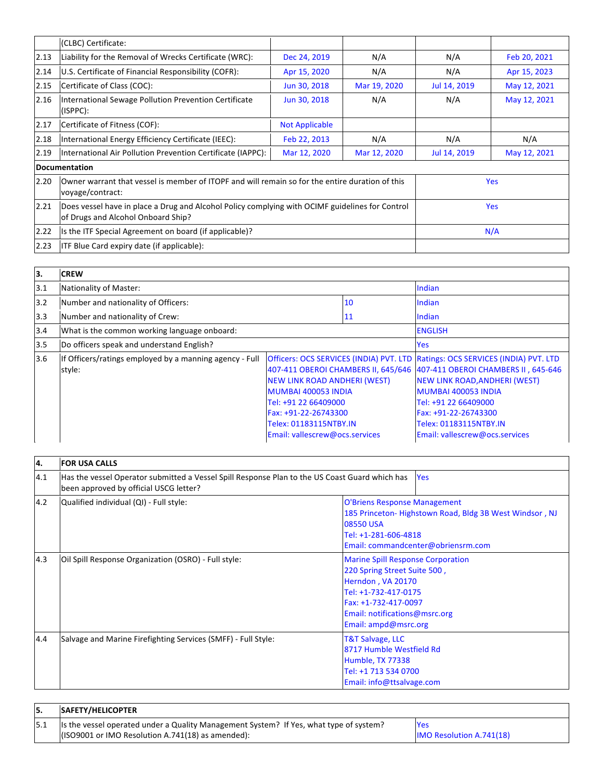|      | (CLBC) Certificate:                                                                                                                   |                       |              |              |              |
|------|---------------------------------------------------------------------------------------------------------------------------------------|-----------------------|--------------|--------------|--------------|
|      |                                                                                                                                       |                       |              |              |              |
| 2.13 | Liability for the Removal of Wrecks Certificate (WRC):                                                                                | Dec 24, 2019          | N/A          | N/A          | Feb 20, 2021 |
| 2.14 | U.S. Certificate of Financial Responsibility (COFR):                                                                                  | Apr 15, 2020          | N/A          | N/A          | Apr 15, 2023 |
| 2.15 | Certificate of Class (COC):                                                                                                           | Jun 30, 2018          | Mar 19, 2020 | Jul 14, 2019 | May 12, 2021 |
| 2.16 | International Sewage Pollution Prevention Certificate<br>(ISPPC):                                                                     | Jun 30, 2018          | N/A          | N/A          | May 12, 2021 |
| 2.17 | Certificate of Fitness (COF):                                                                                                         | <b>Not Applicable</b> |              |              |              |
| 2.18 | International Energy Efficiency Certificate (IEEC):                                                                                   | Feb 22, 2013          | N/A          | N/A          | N/A          |
| 2.19 | International Air Pollution Prevention Certificate (IAPPC):                                                                           | Mar 12, 2020          | Mar 12, 2020 | Jul 14, 2019 | May 12, 2021 |
|      | Documentation                                                                                                                         |                       |              |              |              |
| 2.20 | Owner warrant that vessel is member of ITOPF and will remain so for the entire duration of this<br>voyage/contract:                   |                       |              | <b>Yes</b>   |              |
| 2.21 | Does vessel have in place a Drug and Alcohol Policy complying with OCIMF guidelines for Control<br>of Drugs and Alcohol Onboard Ship? |                       |              |              | <b>Yes</b>   |
| 2.22 | Is the ITF Special Agreement on board (if applicable)?                                                                                |                       |              |              | N/A          |
| 2.23 | <b>ITF Blue Card expiry date (if applicable):</b>                                                                                     |                       |              |              |              |

| 13. | <b>CREW</b>                                                       |                                                                                                                                                                 |      |                                                                                                                                                                                                                                                                                                                               |
|-----|-------------------------------------------------------------------|-----------------------------------------------------------------------------------------------------------------------------------------------------------------|------|-------------------------------------------------------------------------------------------------------------------------------------------------------------------------------------------------------------------------------------------------------------------------------------------------------------------------------|
| 3.1 | Nationality of Master:                                            |                                                                                                                                                                 |      | Indian                                                                                                                                                                                                                                                                                                                        |
| 3.2 | Number and nationality of Officers:                               |                                                                                                                                                                 | 10   | Indian                                                                                                                                                                                                                                                                                                                        |
| 3.3 | Number and nationality of Crew:                                   |                                                                                                                                                                 | 11   | Indian                                                                                                                                                                                                                                                                                                                        |
| 3.4 | What is the common working language onboard:                      |                                                                                                                                                                 |      | <b>ENGLISH</b>                                                                                                                                                                                                                                                                                                                |
| 3.5 | Do officers speak and understand English?                         |                                                                                                                                                                 | Yes. |                                                                                                                                                                                                                                                                                                                               |
| 3.6 | If Officers/ratings employed by a manning agency - Full<br>style: | NEW LINK ROAD ANDHERI (WEST)<br>MUMBAI 400053 INDIA<br>Tel: +91 22 66409000<br>Fax: +91-22-26743300<br>Telex: 01183115NTBY.IN<br>Email: vallescrew@ocs.services |      | Officers: OCS SERVICES (INDIA) PVT. LTD Ratings: OCS SERVICES (INDIA) PVT. LTD<br>407-411 OBEROI CHAMBERS II, 645/646 407-411 OBEROI CHAMBERS II, 645-646<br>NEW LINK ROAD, ANDHERI (WEST)<br>MUMBAI 400053 INDIA<br>Tel: +91 22 66409000<br>Fax: +91-22-26743300<br>Telex: 01183115NTBY.IN<br>Email: vallescrew@ocs.services |

| l4. | <b>FOR USA CALLS</b>                                                                                                                     |                                                                                                                                                                                                        |
|-----|------------------------------------------------------------------------------------------------------------------------------------------|--------------------------------------------------------------------------------------------------------------------------------------------------------------------------------------------------------|
| 4.1 | Has the vessel Operator submitted a Vessel Spill Response Plan to the US Coast Guard which has<br>been approved by official USCG letter? | <b>Yes</b>                                                                                                                                                                                             |
| 4.2 | Qualified individual (QI) - Full style:                                                                                                  | <b>O'Briens Response Management</b><br>185 Princeton-Highstown Road, Bldg 3B West Windsor, NJ<br>08550 USA<br>Tel: +1-281-606-4818<br>Email: commandcenter@obriensrm.com                               |
| 4.3 | Oil Spill Response Organization (OSRO) - Full style:                                                                                     | <b>Marine Spill Response Corporation</b><br>220 Spring Street Suite 500,<br>Herndon, VA 20170<br>Tel: +1-732-417-0175<br>Fax: +1-732-417-0097<br>Email: notifications@msrc.org<br>Email: ampd@msrc.org |
| 4.4 | Salvage and Marine Firefighting Services (SMFF) - Full Style:                                                                            | <b>T&amp;T Salvage, LLC</b><br>8717 Humble Westfield Rd<br>Humble, TX 77338<br>Tel: +1 713 534 0700<br>Email: info@ttsalvage.com                                                                       |

| <b>SAFETY/HELICOPTER</b>                                                                |                                 |
|-----------------------------------------------------------------------------------------|---------------------------------|
| Its the vessel operated under a Quality Management System? If Yes, what type of system? | <b>Yes</b>                      |
| $($ ISO9001 or IMO Resolution A.741(18) as amended):                                    | <b>IMO Resolution A.741(18)</b> |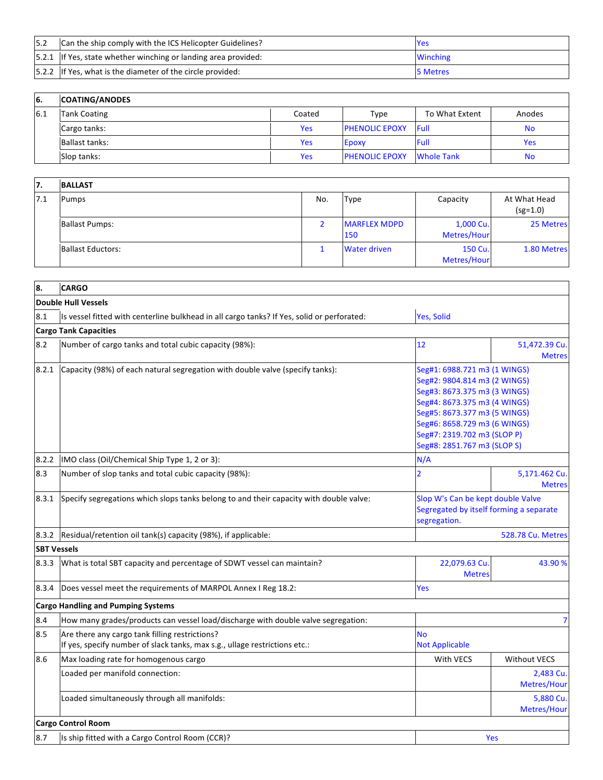| 5.2 | Can the ship comply with the ICS Helicopter Guidelines?         | <b>Yes</b>      |
|-----|-----------------------------------------------------------------|-----------------|
|     | [5.2.1 If Yes, state whether winching or landing area provided: | <b>Winching</b> |
|     | [5.2.2 If Yes, what is the diameter of the circle provided:     | 5 Metres        |

| 6.  | <b>COATING/ANODES</b> |        |                       |                   |            |
|-----|-----------------------|--------|-----------------------|-------------------|------------|
| 6.1 | <b>Tank Coating</b>   | Coated | Type                  | To What Extent    | Anodes     |
|     | Cargo tanks:          | Yes    | <b>PHENOLIC EPOXY</b> | Full              | No         |
|     | <b>Ballast tanks:</b> | Yes    | Epoxy                 | Full              | <b>Yes</b> |
|     | Slop tanks:           | Yes    | <b>PHENOLIC EPOXY</b> | <b>Whole Tank</b> | No         |

| 17. | <b>BALLAST</b>           |     |                            |                          |                            |
|-----|--------------------------|-----|----------------------------|--------------------------|----------------------------|
| 7.1 | <b>Pumps</b>             | No. | <b>Type</b>                | Capacity                 | At What Head<br>$(sg=1.0)$ |
|     | <b>Ballast Pumps:</b>    |     | <b>MARFLEX MDPD</b><br>150 | 1,000 Cu.<br>Metres/Hour | 25 Metres                  |
|     | <b>Ballast Eductors:</b> |     | <b>Water driven</b>        | 150 Cu.<br>Metres/Hour   | 1.80 Metres                |

| 8.                 | <b>CARGO</b>                                                                                                                 |                                                                                                                                                                                                                                                            |                                                                              |  |
|--------------------|------------------------------------------------------------------------------------------------------------------------------|------------------------------------------------------------------------------------------------------------------------------------------------------------------------------------------------------------------------------------------------------------|------------------------------------------------------------------------------|--|
|                    | <b>Double Hull Vessels</b>                                                                                                   |                                                                                                                                                                                                                                                            |                                                                              |  |
| 8.1                | Is vessel fitted with centerline bulkhead in all cargo tanks? If Yes, solid or perforated:                                   | Yes, Solid                                                                                                                                                                                                                                                 |                                                                              |  |
|                    | <b>Cargo Tank Capacities</b>                                                                                                 |                                                                                                                                                                                                                                                            |                                                                              |  |
| 8.2                | Number of cargo tanks and total cubic capacity (98%):                                                                        | 12                                                                                                                                                                                                                                                         | 51,472.39 Cu.<br><b>Metres</b>                                               |  |
| 8.2.1              | (Capacity (98%) of each natural segregation with double valve (specify tanks):                                               | Seg#1: 6988.721 m3 (1 WINGS)<br>Seg#2: 9804.814 m3 (2 WINGS)<br>Seg#3: 8673.375 m3 (3 WINGS)<br>Seg#4: 8673.375 m3 (4 WINGS)<br>Seg#5: 8673.377 m3 (5 WINGS)<br>Seg#6: 8658.729 m3 (6 WINGS)<br>Seg#7: 2319.702 m3 (SLOP P)<br>Seg#8: 2851.767 m3 (SLOP S) |                                                                              |  |
| 8.2.2              | IMO class (Oil/Chemical Ship Type 1, 2 or 3):                                                                                | N/A                                                                                                                                                                                                                                                        |                                                                              |  |
| 8.3                | Number of slop tanks and total cubic capacity (98%):                                                                         | $\overline{2}$                                                                                                                                                                                                                                             | 5,171.462 Cu.<br><b>Metres</b>                                               |  |
| 8.3.1              | Specify segregations which slops tanks belong to and their capacity with double valve:                                       | segregation.                                                                                                                                                                                                                                               | Slop W's Can be kept double Valve<br>Segregated by itself forming a separate |  |
| 8.3.2              | Residual/retention oil tank(s) capacity (98%), if applicable:                                                                |                                                                                                                                                                                                                                                            | <b>528.78 Cu. Metres</b>                                                     |  |
| <b>SBT Vessels</b> |                                                                                                                              |                                                                                                                                                                                                                                                            |                                                                              |  |
| 8.3.3              | What is total SBT capacity and percentage of SDWT vessel can maintain?                                                       | 22,079.63 Cu<br><b>Metres</b>                                                                                                                                                                                                                              | 43.90 %                                                                      |  |
| 8.3.4              | Does vessel meet the requirements of MARPOL Annex I Reg 18.2:                                                                | <b>Yes</b>                                                                                                                                                                                                                                                 |                                                                              |  |
|                    | <b>Cargo Handling and Pumping Systems</b>                                                                                    |                                                                                                                                                                                                                                                            |                                                                              |  |
| 8.4                | How many grades/products can vessel load/discharge with double valve segregation:                                            |                                                                                                                                                                                                                                                            | 7                                                                            |  |
| 8.5                | Are there any cargo tank filling restrictions?<br>If yes, specify number of slack tanks, max s.g., ullage restrictions etc.: | <b>No</b><br><b>Not Applicable</b>                                                                                                                                                                                                                         |                                                                              |  |
| 8.6                | Max loading rate for homogenous cargo                                                                                        | With VECS                                                                                                                                                                                                                                                  | <b>Without VECS</b>                                                          |  |
|                    | Loaded per manifold connection:                                                                                              |                                                                                                                                                                                                                                                            | 2,483 Cu.<br>Metres/Hour                                                     |  |
|                    | Loaded simultaneously through all manifolds:                                                                                 |                                                                                                                                                                                                                                                            | 5,880 Cu.<br>Metres/Hour                                                     |  |
|                    | <b>Cargo Control Room</b>                                                                                                    |                                                                                                                                                                                                                                                            |                                                                              |  |
| 8.7                | Is ship fitted with a Cargo Control Room (CCR)?                                                                              |                                                                                                                                                                                                                                                            | Yes                                                                          |  |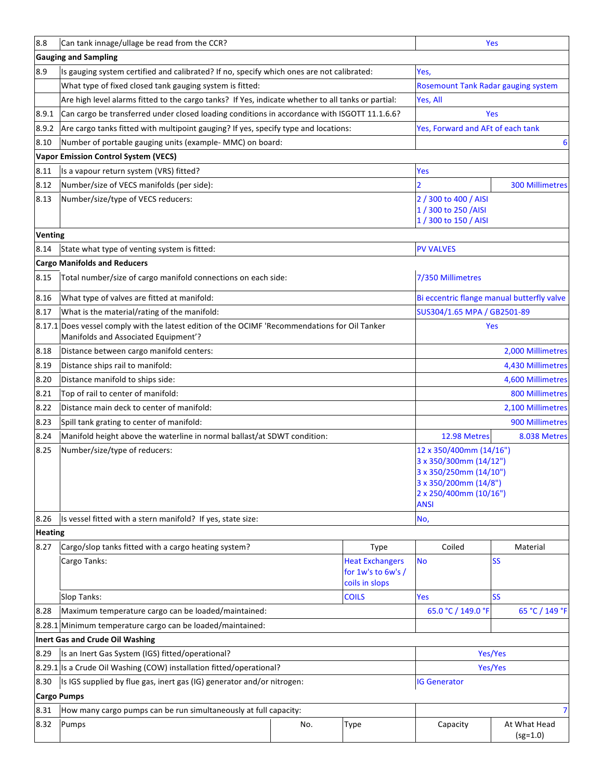| 8.8                                                                                        | Can tank innage/ullage be read from the CCR?                                                                                                  | Yes |                        |                                                 |                                            |  |
|--------------------------------------------------------------------------------------------|-----------------------------------------------------------------------------------------------------------------------------------------------|-----|------------------------|-------------------------------------------------|--------------------------------------------|--|
|                                                                                            | <b>Gauging and Sampling</b>                                                                                                                   |     |                        |                                                 |                                            |  |
| 8.9                                                                                        | Is gauging system certified and calibrated? If no, specify which ones are not calibrated:                                                     |     |                        | Yes,                                            |                                            |  |
|                                                                                            | What type of fixed closed tank gauging system is fitted:                                                                                      |     |                        | <b>Rosemount Tank Radar gauging system</b>      |                                            |  |
|                                                                                            | Are high level alarms fitted to the cargo tanks? If Yes, indicate whether to all tanks or partial:                                            |     |                        | Yes, All                                        |                                            |  |
| 8.9.1                                                                                      | Can cargo be transferred under closed loading conditions in accordance with ISGOTT 11.1.6.6?                                                  |     |                        |                                                 | Yes                                        |  |
| 8.9.2                                                                                      | Are cargo tanks fitted with multipoint gauging? If yes, specify type and locations:                                                           |     |                        | Yes, Forward and AFt of each tank               |                                            |  |
| 8.10                                                                                       | Number of portable gauging units (example- MMC) on board:                                                                                     |     |                        |                                                 | 6                                          |  |
|                                                                                            | <b>Vapor Emission Control System (VECS)</b>                                                                                                   |     |                        |                                                 |                                            |  |
| 8.11                                                                                       | Is a vapour return system (VRS) fitted?                                                                                                       |     |                        | <b>Yes</b>                                      |                                            |  |
| 8.12                                                                                       | Number/size of VECS manifolds (per side):                                                                                                     |     |                        | $\overline{2}$                                  | <b>300 Millimetres</b>                     |  |
| 8.13                                                                                       | Number/size/type of VECS reducers:                                                                                                            |     |                        | 2 / 300 to 400 / AISI                           |                                            |  |
|                                                                                            |                                                                                                                                               |     |                        | 1 / 300 to 250 / AISI                           |                                            |  |
|                                                                                            |                                                                                                                                               |     |                        | 1 / 300 to 150 / AISI                           |                                            |  |
| <b>Venting</b>                                                                             |                                                                                                                                               |     |                        |                                                 |                                            |  |
| 8.14                                                                                       | State what type of venting system is fitted:                                                                                                  |     |                        | <b>PV VALVES</b>                                |                                            |  |
|                                                                                            | <b>Cargo Manifolds and Reducers</b>                                                                                                           |     |                        |                                                 |                                            |  |
| 8.15                                                                                       | Total number/size of cargo manifold connections on each side:                                                                                 |     |                        | 7/350 Millimetres                               |                                            |  |
| 8.16                                                                                       | What type of valves are fitted at manifold:                                                                                                   |     |                        |                                                 | Bi eccentric flange manual butterfly valve |  |
| 8.17                                                                                       | What is the material/rating of the manifold:                                                                                                  |     |                        | SUS304/1.65 MPA / GB2501-89                     |                                            |  |
|                                                                                            | 8.17.1 Does vessel comply with the latest edition of the OCIMF 'Recommendations for Oil Tanker<br>Yes<br>Manifolds and Associated Equipment'? |     |                        |                                                 |                                            |  |
| 8.18                                                                                       | Distance between cargo manifold centers:                                                                                                      |     |                        |                                                 | 2,000 Millimetres                          |  |
| 8.19                                                                                       | Distance ships rail to manifold:                                                                                                              |     |                        | 4,430 Millimetres                               |                                            |  |
| 8.20                                                                                       | Distance manifold to ships side:                                                                                                              |     |                        | 4,600 Millimetres                               |                                            |  |
| 8.21                                                                                       | Top of rail to center of manifold:                                                                                                            |     | <b>800 Millimetres</b> |                                                 |                                            |  |
| 8.22                                                                                       | Distance main deck to center of manifold:                                                                                                     |     |                        |                                                 | 2,100 Millimetres                          |  |
| 8.23                                                                                       | Spill tank grating to center of manifold:                                                                                                     |     |                        |                                                 | 900 Millimetres                            |  |
| 8.24                                                                                       | Manifold height above the waterline in normal ballast/at SDWT condition:                                                                      |     |                        | 12.98 Metres                                    | 8.038 Metres                               |  |
| 8.25                                                                                       | Number/size/type of reducers:                                                                                                                 |     |                        | 12 x 350/400mm (14/16")                         |                                            |  |
|                                                                                            |                                                                                                                                               |     |                        | 3 x 350/300mm (14/12")                          |                                            |  |
|                                                                                            |                                                                                                                                               |     |                        | 3 x 350/250mm (14/10")<br>3 x 350/200mm (14/8") |                                            |  |
|                                                                                            |                                                                                                                                               |     |                        | 2 x 250/400mm (10/16")                          |                                            |  |
|                                                                                            |                                                                                                                                               |     |                        | <b>ANSI</b>                                     |                                            |  |
| 8.26                                                                                       | Is vessel fitted with a stern manifold? If yes, state size:                                                                                   |     |                        | No,                                             |                                            |  |
| <b>Heating</b>                                                                             |                                                                                                                                               |     |                        |                                                 |                                            |  |
| 8.27                                                                                       | Cargo/slop tanks fitted with a cargo heating system?                                                                                          |     | Type                   | Coiled                                          | Material                                   |  |
|                                                                                            | <b>Heat Exchangers</b><br>Cargo Tanks:<br>for $1w's to 6w's/$                                                                                 |     | coils in slops         | <b>No</b>                                       | <b>SS</b>                                  |  |
|                                                                                            | Slop Tanks:<br><b>COILS</b>                                                                                                                   |     |                        | Yes                                             | <b>SS</b>                                  |  |
| 8.28                                                                                       | Maximum temperature cargo can be loaded/maintained:                                                                                           |     |                        | 65.0 °C / 149.0 °F                              | 65 °C / 149 °F                             |  |
|                                                                                            | 8.28.1 Minimum temperature cargo can be loaded/maintained:                                                                                    |     |                        |                                                 |                                            |  |
|                                                                                            | Inert Gas and Crude Oil Washing                                                                                                               |     |                        |                                                 |                                            |  |
| 8.29                                                                                       | Yes/Yes<br>Is an Inert Gas System (IGS) fitted/operational?                                                                                   |     |                        |                                                 |                                            |  |
|                                                                                            | 8.29.1 Is a Crude Oil Washing (COW) installation fitted/operational?                                                                          |     |                        | Yes/Yes                                         |                                            |  |
| 8.30                                                                                       | Is IGS supplied by flue gas, inert gas (IG) generator and/or nitrogen:<br><b>IG Generator</b>                                                 |     |                        |                                                 |                                            |  |
|                                                                                            | <b>Cargo Pumps</b>                                                                                                                            |     |                        |                                                 |                                            |  |
| 8.31<br>How many cargo pumps can be run simultaneously at full capacity:<br>$\overline{7}$ |                                                                                                                                               |     |                        |                                                 |                                            |  |
| 8.32                                                                                       | Pumps                                                                                                                                         | No. | <b>Type</b>            | Capacity                                        | At What Head                               |  |
|                                                                                            |                                                                                                                                               |     |                        |                                                 | $(sg=1.0)$                                 |  |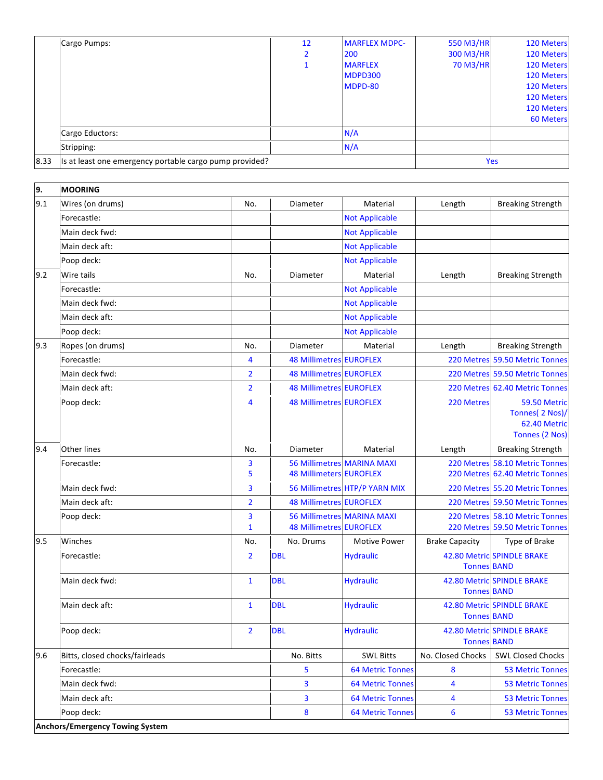|      | Cargo Pumps:                                            | 12 | <b>MARFLEX MDPC-</b> | 550 M3/HR  | 120 Meters       |
|------|---------------------------------------------------------|----|----------------------|------------|------------------|
|      |                                                         | 2  | 200                  | 300 M3/HR  | 120 Meters       |
|      |                                                         |    | <b>MARFLEX</b>       | 70 M3/HR   | 120 Meters       |
|      |                                                         |    | <b>MDPD300</b>       |            | 120 Meters       |
|      |                                                         |    | MDPD-80              |            | 120 Meters       |
|      |                                                         |    |                      |            | 120 Meters       |
|      |                                                         |    |                      |            | 120 Meters       |
|      |                                                         |    |                      |            | <b>60 Meters</b> |
|      | Cargo Eductors:                                         |    | N/A                  |            |                  |
|      | Stripping:                                              |    | N/A                  |            |                  |
| 8.33 | Is at least one emergency portable cargo pump provided? |    |                      | <b>Yes</b> |                  |
|      |                                                         |    |                      |            |                  |
|      |                                                         |    |                      |            |                  |

| 9.  | <b>MOORING</b>                         |                   |                                                                     |                                   |                       |                                                                   |
|-----|----------------------------------------|-------------------|---------------------------------------------------------------------|-----------------------------------|-----------------------|-------------------------------------------------------------------|
| 9.1 | Wires (on drums)                       | No.               | Diameter                                                            | Material                          | Length                | <b>Breaking Strength</b>                                          |
|     | Forecastle:                            |                   |                                                                     | <b>Not Applicable</b>             |                       |                                                                   |
|     | Main deck fwd:                         |                   |                                                                     | <b>Not Applicable</b>             |                       |                                                                   |
|     | Main deck aft:                         |                   |                                                                     | <b>Not Applicable</b>             |                       |                                                                   |
|     | Poop deck:                             |                   |                                                                     | <b>Not Applicable</b>             |                       |                                                                   |
| 9.2 | Wire tails                             | No.               | Diameter                                                            | Material                          | Length                | <b>Breaking Strength</b>                                          |
|     | Forecastle:                            |                   |                                                                     | <b>Not Applicable</b>             |                       |                                                                   |
|     | Main deck fwd:                         |                   |                                                                     | <b>Not Applicable</b>             |                       |                                                                   |
|     | Main deck aft:                         |                   |                                                                     | <b>Not Applicable</b>             |                       |                                                                   |
|     | Poop deck:                             |                   |                                                                     | <b>Not Applicable</b>             |                       |                                                                   |
| 9.3 | Ropes (on drums)                       | No.               | Diameter                                                            | Material                          | Length                | <b>Breaking Strength</b>                                          |
|     | Forecastle:                            | 4                 | <b>48 Millimetres EUROFLEX</b>                                      |                                   |                       | 220 Metres 59.50 Metric Tonnes                                    |
|     | Main deck fwd:                         | $\overline{2}$    | <b>48 Millimetres EUROFLEX</b>                                      |                                   |                       | 220 Metres 59.50 Metric Tonnes                                    |
|     | Main deck aft:                         | $\overline{2}$    | <b>48 Millimetres EUROFLEX</b>                                      |                                   |                       | 220 Metres 62.40 Metric Tonnes                                    |
|     | Poop deck:                             | 4                 | <b>48 Millimetres EUROFLEX</b>                                      |                                   | 220 Metres            | 59.50 Metric<br>Tonnes( 2 Nos)/<br>62.40 Metric<br>Tonnes (2 Nos) |
| 9.4 | Other lines                            | No.               | Diameter                                                            | Material                          | Length                | <b>Breaking Strength</b>                                          |
|     | Forecastle:                            | 3<br>5            | <b>48 Millimeters EUROFLEX</b>                                      | <b>56 Millimetres MARINA MAXI</b> |                       | 220 Metres 58.10 Metric Tonnes<br>220 Metres 62.40 Metric Tonnes  |
|     | Main deck fwd:                         | 3                 |                                                                     | 56 Millimetres HTP/P YARN MIX     |                       | 220 Metres 55.20 Metric Tonnes                                    |
|     | Main deck aft:                         | $\overline{2}$    | <b>48 Millimetres EUROFLEX</b>                                      |                                   |                       | 220 Metres 59.50 Metric Tonnes                                    |
|     | Poop deck:                             | 3<br>$\mathbf{1}$ | <b>56 Millimetres MARINA MAXI</b><br><b>48 Millimetres EUROFLEX</b> |                                   |                       | 220 Metres 58.10 Metric Tonnes<br>220 Metres 59.50 Metric Tonnes  |
| 9.5 | Winches                                | No.               | No. Drums                                                           | <b>Motive Power</b>               | <b>Brake Capacity</b> | Type of Brake                                                     |
|     | Forecastle:                            | $\overline{2}$    | <b>DBL</b>                                                          | <b>Hydraulic</b>                  | <b>Tonnes BAND</b>    | 42.80 Metric SPINDLE BRAKE                                        |
|     | Main deck fwd:                         | $\mathbf{1}$      | <b>DBL</b>                                                          | <b>Hydraulic</b>                  | <b>Tonnes BAND</b>    | 42.80 Metric SPINDLE BRAKE                                        |
|     | Main deck aft:                         | $\mathbf{1}$      | <b>DBL</b>                                                          | <b>Hydraulic</b>                  | <b>Tonnes BAND</b>    | <b>42.80 Metric SPINDLE BRAKE</b>                                 |
|     | Poop deck:                             | 2                 | <b>DBL</b>                                                          | <b>Hydraulic</b>                  | <b>Tonnes BAND</b>    | 42.80 Metric SPINDLE BRAKE                                        |
| 9.6 | Bitts, closed chocks/fairleads         |                   | No. Bitts                                                           | <b>SWL Bitts</b>                  | No. Closed Chocks     | <b>SWL Closed Chocks</b>                                          |
|     | Forecastle:                            |                   | 5                                                                   | <b>64 Metric Tonnes</b>           | 8                     | <b>53 Metric Tonnes</b>                                           |
|     | Main deck fwd:                         |                   | 3                                                                   | <b>64 Metric Tonnes</b>           | 4                     | <b>53 Metric Tonnes</b>                                           |
|     | Main deck aft:                         |                   | 3                                                                   | <b>64 Metric Tonnes</b>           | 4                     | <b>53 Metric Tonnes</b>                                           |
|     | Poop deck:                             |                   | 8                                                                   | <b>64 Metric Tonnes</b>           | 6                     | <b>53 Metric Tonnes</b>                                           |
|     | <b>Anchors/Emergency Towing System</b> |                   |                                                                     |                                   |                       |                                                                   |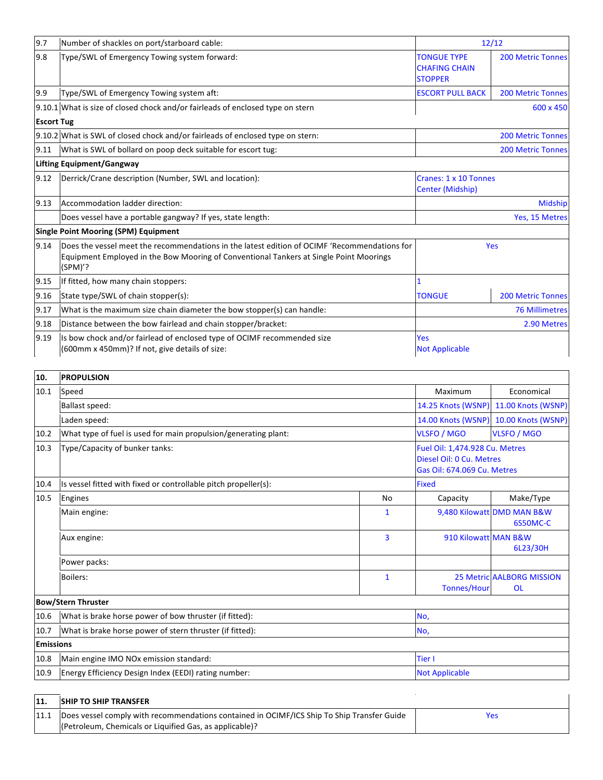| 9.7               | Number of shackles on port/starboard cable:                                                                                                                                                       | 12/12                                                        |                          |
|-------------------|---------------------------------------------------------------------------------------------------------------------------------------------------------------------------------------------------|--------------------------------------------------------------|--------------------------|
| 9.8               | Type/SWL of Emergency Towing system forward:                                                                                                                                                      | <b>TONGUE TYPE</b><br><b>CHAFING CHAIN</b><br><b>STOPPER</b> | <b>200 Metric Tonnes</b> |
| 9.9               | Type/SWL of Emergency Towing system aft:                                                                                                                                                          | <b>ESCORT PULL BACK</b><br><b>200 Metric Tonnes</b>          |                          |
|                   | 9.10.1 What is size of closed chock and/or fairleads of enclosed type on stern                                                                                                                    |                                                              | 600 x 450                |
| <b>Escort Tug</b> |                                                                                                                                                                                                   |                                                              |                          |
|                   | 9.10.2 What is SWL of closed chock and/or fairleads of enclosed type on stern:                                                                                                                    |                                                              | <b>200 Metric Tonnes</b> |
| 9.11              | What is SWL of bollard on poop deck suitable for escort tug:                                                                                                                                      |                                                              | <b>200 Metric Tonnes</b> |
|                   | <b>Lifting Equipment/Gangway</b>                                                                                                                                                                  |                                                              |                          |
| 9.12              | Derrick/Crane description (Number, SWL and location):                                                                                                                                             | Cranes: 1 x 10 Tonnes<br>Center (Midship)                    |                          |
| 9.13              | Accommodation ladder direction:                                                                                                                                                                   | <b>Midship</b>                                               |                          |
|                   | Does vessel have a portable gangway? If yes, state length:                                                                                                                                        | Yes, 15 Metres                                               |                          |
|                   | <b>Single Point Mooring (SPM) Equipment</b>                                                                                                                                                       |                                                              |                          |
| 9.14              | Does the vessel meet the recommendations in the latest edition of OCIMF 'Recommendations for<br>Equipment Employed in the Bow Mooring of Conventional Tankers at Single Point Moorings<br>(SPM)'? | Yes                                                          |                          |
| 9.15              | If fitted, how many chain stoppers:                                                                                                                                                               |                                                              |                          |
| 9.16              | State type/SWL of chain stopper(s):                                                                                                                                                               | <b>TONGUE</b><br><b>200 Metric Tonnes</b>                    |                          |
| 9.17              | What is the maximum size chain diameter the bow stopper(s) can handle:                                                                                                                            | <b>76 Millimetres</b>                                        |                          |
| 9.18              | Distance between the bow fairlead and chain stopper/bracket:                                                                                                                                      | 2.90 Metres                                                  |                          |
| 9.19              | Is bow chock and/or fairlead of enclosed type of OCIMF recommended size<br>(600mm x 450mm)? If not, give details of size:                                                                         | Yes<br><b>Not Applicable</b>                                 |                          |

| 10.              | <b>PROPULSION</b>                                               |                    |                      |                                                                                           |  |
|------------------|-----------------------------------------------------------------|--------------------|----------------------|-------------------------------------------------------------------------------------------|--|
| 10.1             | Speed                                                           |                    | Maximum              | Economical                                                                                |  |
|                  | <b>Ballast speed:</b>                                           |                    |                      | 14.25 Knots (WSNP) 11.00 Knots (WSNP)                                                     |  |
|                  | Laden speed:                                                    | 14.00 Knots (WSNP) | 10.00 Knots (WSNP)   |                                                                                           |  |
| 10.2             | What type of fuel is used for main propulsion/generating plant: |                    | <b>VLSFO / MGO</b>   | <b>VLSFO / MGO</b>                                                                        |  |
| 10.3             | Type/Capacity of bunker tanks:                                  |                    |                      | Fuel Oil: 1,474.928 Cu. Metres<br>Diesel Oil: 0 Cu. Metres<br>Gas Oil: 674.069 Cu. Metres |  |
| 10.4             | Is vessel fitted with fixed or controllable pitch propeller(s): | <b>Fixed</b>       |                      |                                                                                           |  |
| 10.5             | Engines                                                         | <b>No</b>          | Capacity             | Make/Type                                                                                 |  |
|                  | Main engine:                                                    | $\mathbf{1}$       |                      | 9,480 Kilowatt DMD MAN B&W<br>6S50MC-C                                                    |  |
|                  | Aux engine:                                                     | 3                  | 910 Kilowatt MAN B&W | 6L23/30H                                                                                  |  |
|                  | Power packs:                                                    |                    |                      |                                                                                           |  |
|                  | Boilers:                                                        | $\mathbf{1}$       | <b>Tonnes/Hour</b>   | <b>25 Metric AALBORG MISSION</b><br><b>OL</b>                                             |  |
|                  | <b>Bow/Stern Thruster</b>                                       |                    |                      |                                                                                           |  |
| 10.6             | What is brake horse power of bow thruster (if fitted):          | No,                |                      |                                                                                           |  |
| 10.7             | What is brake horse power of stern thruster (if fitted):        |                    |                      | No,                                                                                       |  |
| <b>Emissions</b> |                                                                 |                    |                      |                                                                                           |  |
| 10.8             | Main engine IMO NOx emission standard:                          |                    |                      | <b>Tier I</b>                                                                             |  |
| 10.9             | Energy Efficiency Design Index (EEDI) rating number:            |                    |                      | <b>Not Applicable</b>                                                                     |  |

| 11. | <b>SHIP TO SHIP TRANSFER</b>                                                                       |  |  |  |
|-----|----------------------------------------------------------------------------------------------------|--|--|--|
|     | [11.1   Does vessel comply with recommendations contained in OCIMF/ICS Ship To Ship Transfer Guide |  |  |  |
|     | (Petroleum, Chemicals or Liquified Gas, as applicable)?                                            |  |  |  |